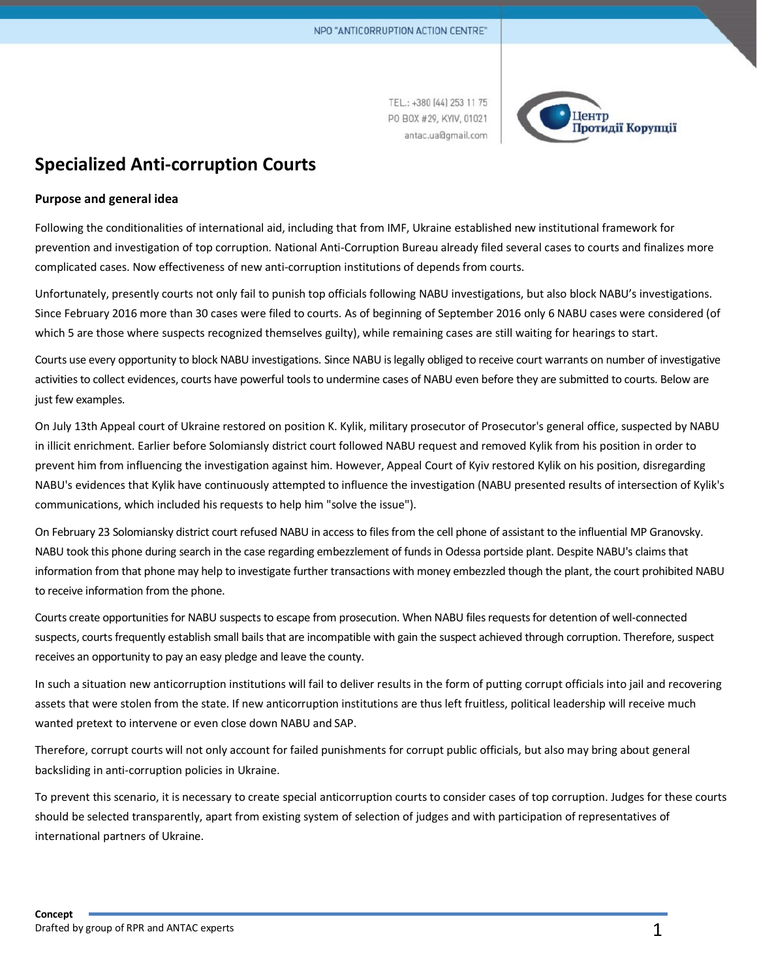TEL.: +380 (44) 253 11 75 PO BOX #29, KYIV, 01021 antac.ua@gmail.com



# **Specialized Anti-corruption Courts**

### **Purpose and general idea**

Following the conditionalities of international aid, including that from IMF, Ukraine established new institutional framework for prevention and investigation of top corruption. National Anti-Corruption Bureau already filed several cases to courts and finalizes more complicated cases. Now effectiveness of new anti-corruption institutions of depends from courts.

Unfortunately, presently courts not only fail to punish top officials following NABU investigations, but also block NABU's investigations. Since February 2016 more than 30 cases were filed to courts. As of beginning of September 2016 only 6 NABU cases were considered (of which 5 are those where suspects recognized themselves guilty), while remaining cases are still waiting for hearings to start.

Courts use every opportunity to block NABU investigations. Since NABU islegally obliged to receive court warrants on number of investigative activities to collect evidences, courts have powerful tools to undermine cases of NABU even before they are submitted to courts. Below are just few examples.

Оn July 13th Appeal court of Ukraine restored on position K. Kylik, military prosecutor of Prosecutor's general office, suspected by NABU in illicit enrichment. Earlier before Solomiansly district court followed NABU request and removed Kylik from his position in order to prevent him from influencing the investigation against him. However, Appeal Court of Kyiv restored Kylik on his position, disregarding NABU's evidences that Kylik have continuously attempted to influence the investigation (NABU presented results of intersection of Kylik's communications, which included his requests to help him "solve the issue").

On February 23 Solomiansky district court refused NABU in access to filesfrom the cell phone of assistant to the influential MP Granovsky. NABU took this phone during search in the case regarding embezzlement of funds in Odessa portside plant. Despite NABU's claims that information from that phone may help to investigate further transactions with money embezzled though the plant, the court prohibited NABU to receive information from the phone.

Courts create opportunities for NABU suspects to escape from prosecution. When NABU files requests for detention of well-connected suspects, courts frequently establish small bails that are incompatible with gain the suspect achieved through corruption. Therefore, suspect receives an opportunity to pay an easy pledge and leave the county.

In such a situation new anticorruption institutions will fail to deliver results in the form of putting corrupt officials into jail and recovering assets that were stolen from the state. If new anticorruption institutions are thus left fruitless, political leadership will receive much wanted pretext to intervene or even close down NABU and SAP.

Therefore, corrupt courts will not only account for failed punishments for corrupt public officials, but also may bring about general backsliding in anti-corruption policies in Ukraine.

To prevent this scenario, it is necessary to create special anticorruption courts to consider cases of top corruption. Judges for these courts should be selected transparently, apart from existing system of selection of judges and with participation of representatives of international partners of Ukraine.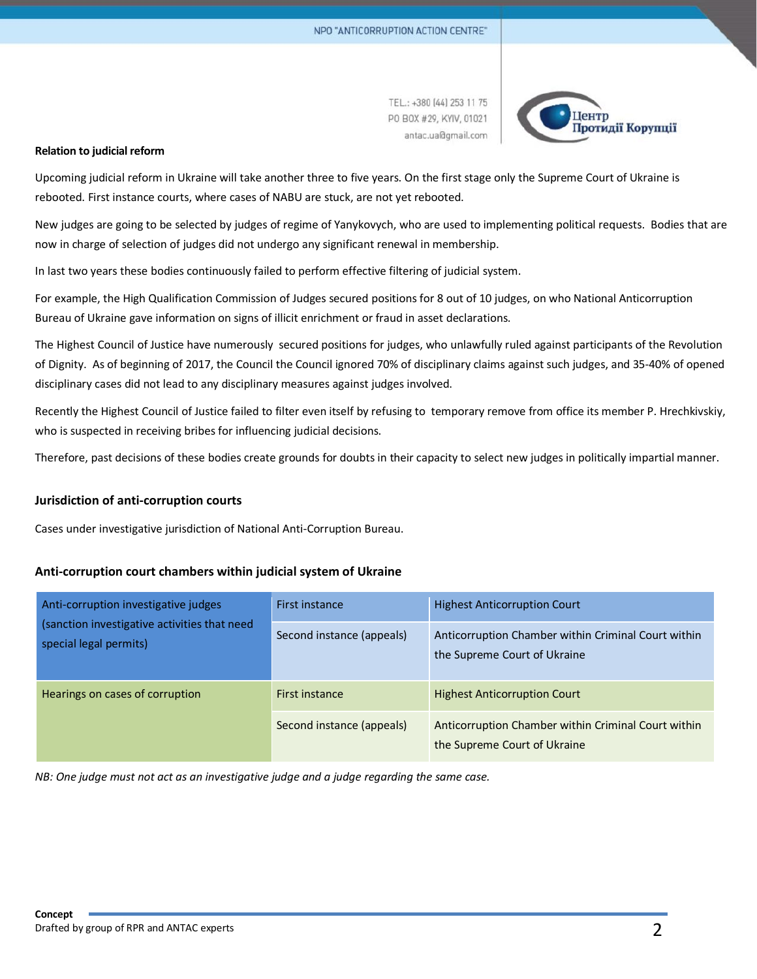TEL.: +380 [44] 253 11 75 PO BOX #29, KYIV, 01021 antac.ua@gmail.com



#### **Relation to judicial reform**

Upcoming judicial reform in Ukraine will take another three to five years. On the first stage only the Supreme Court of Ukraine is rebooted. First instance courts, where cases of NABU are stuck, are not yet rebooted.

New judges are going to be selected by judges of regime of Yanykovych, who are used to implementing political requests. Bodies that are now in charge of selection of judges did not undergo any significant renewal in membership.

In last two years these bodies continuously failed to perform effective filtering of judicial system.

For example, the High Qualification Commission of Judges secured positions for 8 out of 10 judges, on who National Anticorruption Bureau of Ukraine gave information on signs of illicit enrichment or fraud in asset declarations.

The Highest Council of Justice have numerously secured positions for judges, who unlawfully ruled against participants of the Revolution of Dignity. As of beginning of 2017, the Council the Council ignored 70% of disciplinary claims against such judges, and 35-40% of opened disciplinary cases did not lead to any disciplinary measures against judges involved.

Recently the Highest Council of Justice failed to filter even itself by refusing to temporary remove from office its member P. Hrechkivskiy, who is suspected in receiving bribes for influencing judicial decisions.

Therefore, past decisions of these bodies create grounds for doubts in their capacity to select new judges in politically impartial manner.

#### **Jurisdiction of anti-corruption courts**

Cases under investigative jurisdiction of National Anti-Corruption Bureau.

#### **Anti-corruption court chambers within judicial system of Ukraine**

| Anti-corruption investigative judges<br>(sanction investigative activities that need<br>special legal permits) | First instance            | <b>Highest Anticorruption Court</b>                                                 |
|----------------------------------------------------------------------------------------------------------------|---------------------------|-------------------------------------------------------------------------------------|
|                                                                                                                | Second instance (appeals) | Anticorruption Chamber within Criminal Court within<br>the Supreme Court of Ukraine |
| Hearings on cases of corruption                                                                                | First instance            | <b>Highest Anticorruption Court</b>                                                 |
|                                                                                                                | Second instance (appeals) | Anticorruption Chamber within Criminal Court within<br>the Supreme Court of Ukraine |

*NB: One judge must not act as an investigative judge and a judge regarding the same case.*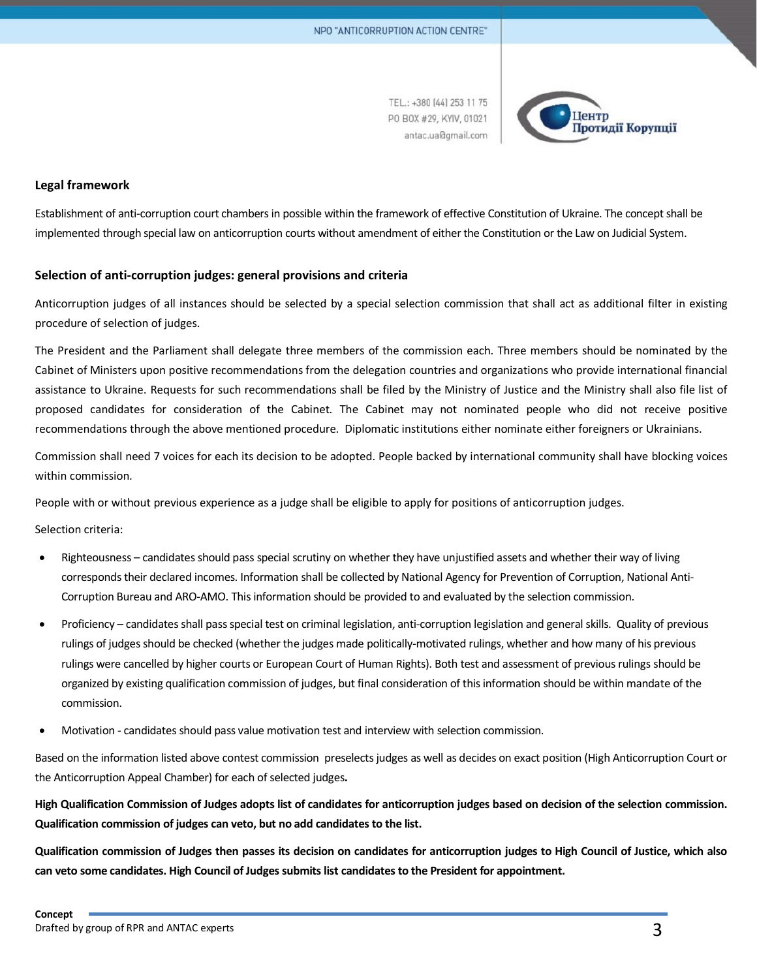TEL.: +380 (44) 253 11 75 PO BOX #29, KYIV, 01021 antac.ua@gmail.com



#### **Legal framework**

Establishment of anti-corruption court chambers in possible within the framework of effective Constitution of Ukraine. The concept shall be implemented through special law on anticorruption courts without amendment of either the Constitution or the Law on Judicial System.

## **Selection of anti-corruption judges: general provisions and criteria**

Anticorruption judges of all instances should be selected by a special selection commission that shall act as additional filter in existing procedure of selection of judges.

The President and the Parliament shall delegate three members of the commission each. Three members should be nominated by the Cabinet of Ministers upon positive recommendations from the delegation countries and organizations who provide international financial assistance to Ukraine. Requests for such recommendations shall be filed by the Ministry of Justice and the Ministry shall also file list of proposed candidates for consideration of the Cabinet. The Cabinet may not nominated people who did not receive positive recommendations through the above mentioned procedure. Diplomatic institutions either nominate either foreigners or Ukrainians.

Commission shall need 7 voices for each its decision to be adopted. People backed by international community shall have blocking voices within commission.

People with or without previous experience as a judge shall be eligible to apply for positions of anticorruption judges.

Selection criteria:

- Righteousness candidates should pass special scrutiny on whether they have unjustified assets and whether their way of living corresponds their declared incomes. Information shall be collected by National Agency for Prevention of Corruption, National Anti-Corruption Bureau and ARO-AMO. Thisinformation should be provided to and evaluated by the selection commission.
- Proficiency candidates shall pass special test on criminal legislation, anti-corruption legislation and general skills. Quality of previous rulings of judges should be checked (whether the judges made politically-motivated rulings, whether and how many of his previous rulings were cancelled by higher courts or European Court of Human Rights). Both test and assessment of previous rulings should be organized by existing qualification commission of judges, but final consideration of thisinformation should be within mandate of the commission.
- Motivation candidates should pass value motivation test and interview with selection commission.

Based on the information listed above contest commission preselects judges as well as decides on exact position (High Anticorruption Court or the Anticorruption Appeal Chamber) for each of selected judges**.**

High Qualification Commission of Judges adopts list of candidates for anticorruption judges based on decision of the selection commission. **Qualification commission of judges can veto, but no add candidatesto the list.**

Qualification commission of Judges then passes its decision on candidates for anticorruption judges to High Council of Justice, which also **can veto some candidates. High Council of Judgessubmitslist candidatesto the President for appointment.**